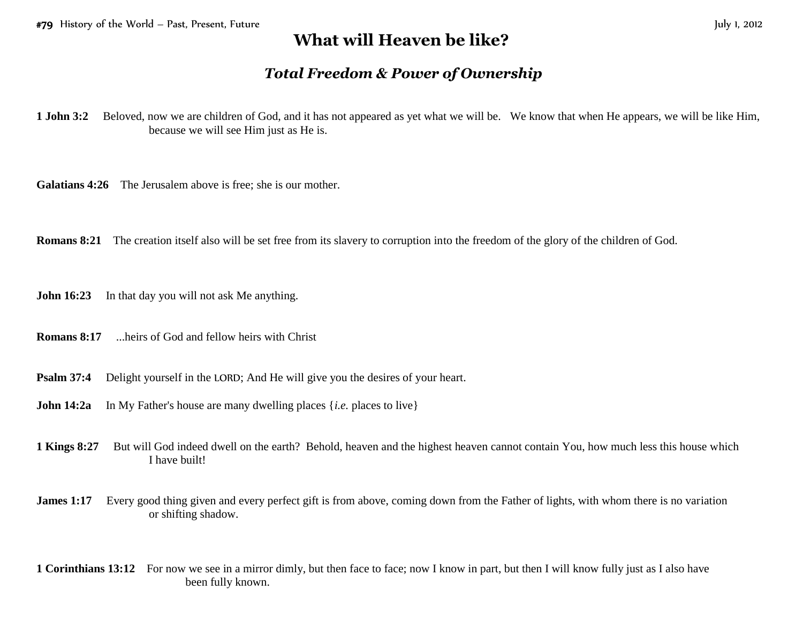## **What will Heaven be like?**

## *Total Freedom & Power of Ownership*

**1 John 3:2** Beloved, now we are children of God, and it has not appeared as yet what we will be. We know that when He appears, we will be like Him, because we will see Him just as He is.

**Galatians 4:26** The Jerusalem above is free; she is our mother.

**Romans 8:21** The creation itself also will be set free from its slavery to corruption into the freedom of the glory of the children of God.

**John 16:23** In that day you will not ask Me anything.

- **Romans 8:17** ...heirs of God and fellow heirs with Christ
- **Psalm 37:4** Delight yourself in the LORD; And He will give you the desires of your heart.
- **John 14:2a** In My Father's house are many dwelling places {*i.e.* places to live}
- **1 Kings 8:27** But will God indeed dwell on the earth? Behold, heaven and the highest heaven cannot contain You, how much less this house which I have built!
- **James 1:17** Every good thing given and every perfect gift is from above, coming down from the Father of lights, with whom there is no variation or shifting shadow.
- **1 Corinthians 13:12** For now we see in a mirror dimly, but then face to face; now I know in part, but then I will know fully just as I also have been fully known.